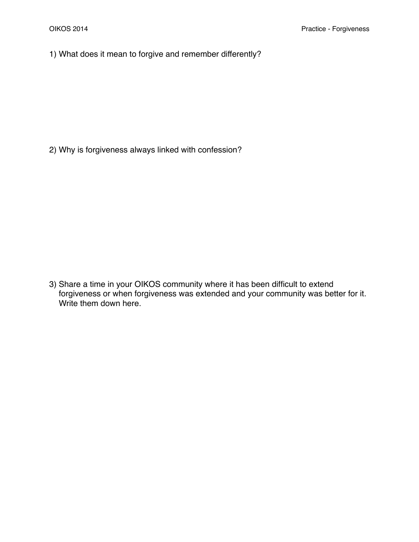1) What does it mean to forgive and remember differently?

2) Why is forgiveness always linked with confession?

3) Share a time in your OIKOS community where it has been difficult to extend forgiveness or when forgiveness was extended and your community was better for it. Write them down here.